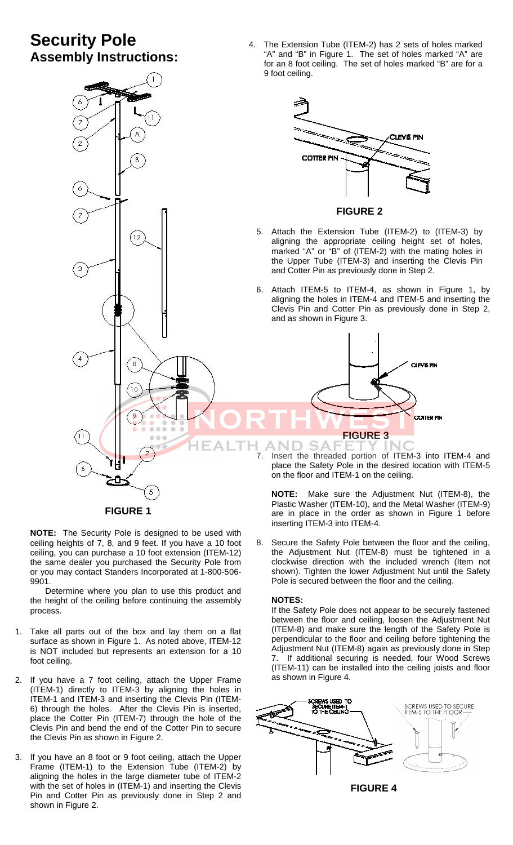# **Security Pole Assembly Instructions:**





**NOTE:** The Security Pole is designed to be used with ceiling heights of 7, 8, and 9 feet. If you have a 10 foot ceiling, you can purchase a 10 foot extension (ITEM-12) the same dealer you purchased the Security Pole from or you may contact Standers Incorporated at 1-800-506- 9901.

Determine where you plan to use this product and the height of the ceiling before continuing the assembly process.

- 1. Take all parts out of the box and lay them on a flat surface as shown in Figure 1. As noted above, ITEM-12 is NOT included but represents an extension for a 10 foot ceiling.
- 2. If you have a 7 foot ceiling, attach the Upper Frame (ITEM-1) directly to ITEM-3 by aligning the holes in ITEM-1 and ITEM-3 and inserting the Clevis Pin (ITEM-6) through the holes. After the Clevis Pin is inserted, place the Cotter Pin (ITEM-7) through the hole of the Clevis Pin and bend the end of the Cotter Pin to secure the Clevis Pin as shown in Figure 2.
- 3. If you have an 8 foot or 9 foot ceiling, attach the Upper Frame (ITEM-1) to the Extension Tube (ITEM-2) by aligning the holes in the large diameter tube of ITEM-2 with the set of holes in (ITEM-1) and inserting the Clevis Pin and Cotter Pin as previously done in Step 2 and shown in Figure 2.

place the Safety Pole in the desired location with ITEM-5

4. The Extension Tube (ITEM-2) has 2 sets of holes marked "A" and "B" in Figure 1. The set of holes marked "A" are for an 8 foot ceiling. The set of holes marked "B" are for a

Plastic Washer (ITEM-10), and the Metal Washer (ITEM-9) are in place in the order as shown in Figure 1 before inserting ITEM-3 into ITEM-4.

8. Secure the Safety Pole between the floor and the ceiling, the Adjustment Nut (ITEM-8) must be tightened in a clockwise direction with the included wrench (Item not shown). Tighten the lower Adjustment Nut until the Safety Pole is secured between the floor and the ceiling.

#### **NOTES:**

If the Safety Pole does not appear to be securely fastened between the floor and ceiling, loosen the Adjustment Nut (ITEM-8) and make sure the length of the Safety Pole is perpendicular to the floor and ceiling before tightening the Adjustment Nut (ITEM-8) again as previously done in Step 7. If additional securing is needed, four Wood Screws (ITEM-11) can be installed into the ceiling joists and floor as shown in Figure 4.